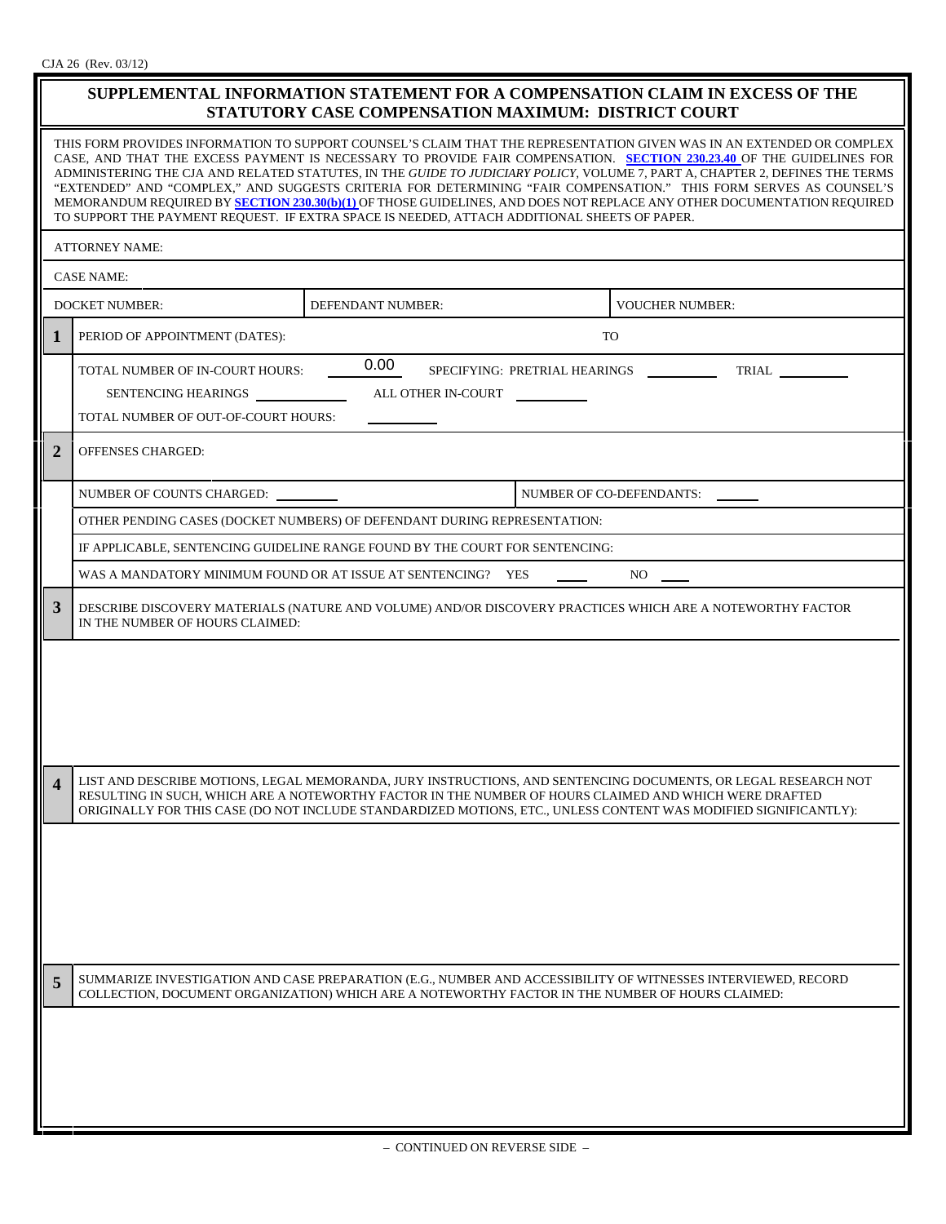| SUPPLEMENTAL INFORMATION STATEMENT FOR A COMPENSATION CLAIM IN EXCESS OF THE<br>STATUTORY CASE COMPENSATION MAXIMUM: DISTRICT COURT                                                                                                                                                                                                                                                                                                                                                                                                                                                                                                                                                                                           |                                                                                                                                                                              |                   |  |                                                                                                                  |  |
|-------------------------------------------------------------------------------------------------------------------------------------------------------------------------------------------------------------------------------------------------------------------------------------------------------------------------------------------------------------------------------------------------------------------------------------------------------------------------------------------------------------------------------------------------------------------------------------------------------------------------------------------------------------------------------------------------------------------------------|------------------------------------------------------------------------------------------------------------------------------------------------------------------------------|-------------------|--|------------------------------------------------------------------------------------------------------------------|--|
| THIS FORM PROVIDES INFORMATION TO SUPPORT COUNSEL'S CLAIM THAT THE REPRESENTATION GIVEN WAS IN AN EXTENDED OR COMPLEX<br>CASE, AND THAT THE EXCESS PAYMENT IS NECESSARY TO PROVIDE FAIR COMPENSATION. SECTION 230.23.40 OF THE GUIDELINES FOR<br>ADMINISTERING THE CJA AND RELATED STATUTES, IN THE GUIDE TO JUDICIARY POLICY, VOLUME 7, PART A, CHAPTER 2, DEFINES THE TERMS<br>"EXTENDED" AND "COMPLEX," AND SUGGESTS CRITERIA FOR DETERMINING "FAIR COMPENSATION." THIS FORM SERVES AS COUNSEL'S<br>MEMORANDUM REQUIRED BY SECTION 230.30(b)(1) OF THOSE GUIDELINES, AND DOES NOT REPLACE ANY OTHER DOCUMENTATION REQUIRED<br>TO SUPPORT THE PAYMENT REQUEST. IF EXTRA SPACE IS NEEDED, ATTACH ADDITIONAL SHEETS OF PAPER. |                                                                                                                                                                              |                   |  |                                                                                                                  |  |
| <b>ATTORNEY NAME:</b>                                                                                                                                                                                                                                                                                                                                                                                                                                                                                                                                                                                                                                                                                                         |                                                                                                                                                                              |                   |  |                                                                                                                  |  |
| <b>CASE NAME:</b>                                                                                                                                                                                                                                                                                                                                                                                                                                                                                                                                                                                                                                                                                                             |                                                                                                                                                                              |                   |  |                                                                                                                  |  |
|                                                                                                                                                                                                                                                                                                                                                                                                                                                                                                                                                                                                                                                                                                                               | <b>DOCKET NUMBER:</b>                                                                                                                                                        | DEFENDANT NUMBER: |  | <b>VOUCHER NUMBER:</b>                                                                                           |  |
| 1                                                                                                                                                                                                                                                                                                                                                                                                                                                                                                                                                                                                                                                                                                                             | PERIOD OF APPOINTMENT (DATES):                                                                                                                                               |                   |  | TO                                                                                                               |  |
|                                                                                                                                                                                                                                                                                                                                                                                                                                                                                                                                                                                                                                                                                                                               | 0.00<br>TOTAL NUMBER OF IN-COURT HOURS:<br>SPECIFYING: PRETRIAL HEARINGS<br><b>TRIAL</b><br>ALL OTHER IN-COURT<br>SENTENCING HEARINGS<br>TOTAL NUMBER OF OUT-OF-COURT HOURS: |                   |  |                                                                                                                  |  |
| $\overline{2}$                                                                                                                                                                                                                                                                                                                                                                                                                                                                                                                                                                                                                                                                                                                | <b>OFFENSES CHARGED:</b>                                                                                                                                                     |                   |  |                                                                                                                  |  |
|                                                                                                                                                                                                                                                                                                                                                                                                                                                                                                                                                                                                                                                                                                                               | NUMBER OF COUNTS CHARGED:                                                                                                                                                    |                   |  | <b>NUMBER OF CO-DEFENDANTS:</b>                                                                                  |  |
|                                                                                                                                                                                                                                                                                                                                                                                                                                                                                                                                                                                                                                                                                                                               | OTHER PENDING CASES (DOCKET NUMBERS) OF DEFENDANT DURING REPRESENTATION:                                                                                                     |                   |  |                                                                                                                  |  |
|                                                                                                                                                                                                                                                                                                                                                                                                                                                                                                                                                                                                                                                                                                                               | IF APPLICABLE, SENTENCING GUIDELINE RANGE FOUND BY THE COURT FOR SENTENCING:                                                                                                 |                   |  |                                                                                                                  |  |
|                                                                                                                                                                                                                                                                                                                                                                                                                                                                                                                                                                                                                                                                                                                               | WAS A MANDATORY MINIMUM FOUND OR AT ISSUE AT SENTENCING? YES<br>NO.                                                                                                          |                   |  |                                                                                                                  |  |
| 3                                                                                                                                                                                                                                                                                                                                                                                                                                                                                                                                                                                                                                                                                                                             | DESCRIBE DISCOVERY MATERIALS (NATURE AND VOLUME) AND/OR DISCOVERY PRACTICES WHICH ARE A NOTEWORTHY FACTOR<br>IN THE NUMBER OF HOURS CLAIMED:                                 |                   |  |                                                                                                                  |  |
| $\boldsymbol{4}$                                                                                                                                                                                                                                                                                                                                                                                                                                                                                                                                                                                                                                                                                                              |                                                                                                                                                                              |                   |  | LIST AND DESCRIBE MOTIONS, LEGAL MEMORANDA, JURY INSTRUCTIONS, AND SENTENCING DOCUMENTS, OR LEGAL RESEARCH NOT   |  |
|                                                                                                                                                                                                                                                                                                                                                                                                                                                                                                                                                                                                                                                                                                                               | RESULTING IN SUCH, WHICH ARE A NOTEWORTHY FACTOR IN THE NUMBER OF HOURS CLAIMED AND WHICH WERE DRAFTED                                                                       |                   |  | ORIGINALLY FOR THIS CASE (DO NOT INCLUDE STANDARDIZED MOTIONS, ETC., UNLESS CONTENT WAS MODIFIED SIGNIFICANTLY): |  |
| 5                                                                                                                                                                                                                                                                                                                                                                                                                                                                                                                                                                                                                                                                                                                             | COLLECTION, DOCUMENT ORGANIZATION) WHICH ARE A NOTEWORTHY FACTOR IN THE NUMBER OF HOURS CLAIMED:                                                                             |                   |  | SUMMARIZE INVESTIGATION AND CASE PREPARATION (E.G., NUMBER AND ACCESSIBILITY OF WITNESSES INTERVIEWED, RECORD    |  |
|                                                                                                                                                                                                                                                                                                                                                                                                                                                                                                                                                                                                                                                                                                                               |                                                                                                                                                                              |                   |  |                                                                                                                  |  |